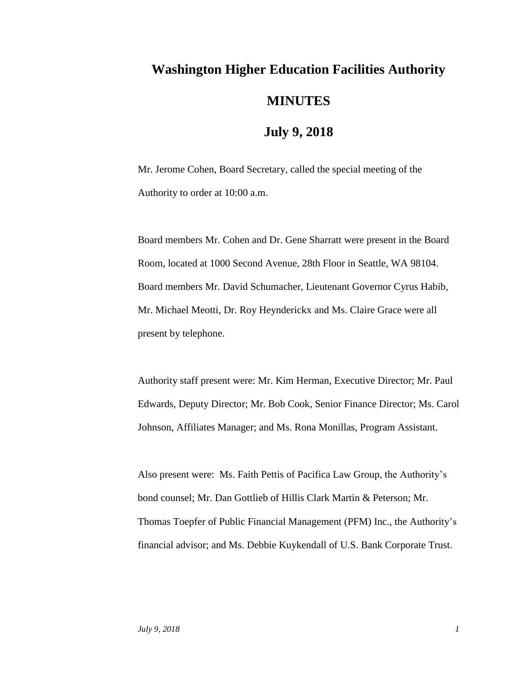## **Washington Higher Education Facilities Authority MINUTES**

## **July 9, 2018**

Mr. Jerome Cohen, Board Secretary, called the special meeting of the Authority to order at 10:00 a.m.

Board members Mr. Cohen and Dr. Gene Sharratt were present in the Board Room, located at 1000 Second Avenue, 28th Floor in Seattle, WA 98104. Board members Mr. David Schumacher, Lieutenant Governor Cyrus Habib, Mr. Michael Meotti, Dr. Roy Heynderickx and Ms. Claire Grace were all present by telephone.

Authority staff present were: Mr. Kim Herman, Executive Director; Mr. Paul Edwards, Deputy Director; Mr. Bob Cook, Senior Finance Director; Ms. Carol Johnson, Affiliates Manager; and Ms. Rona Monillas, Program Assistant.

Also present were: Ms. Faith Pettis of Pacifica Law Group, the Authority's bond counsel; Mr. Dan Gottlieb of Hillis Clark Martin & Peterson; Mr. Thomas Toepfer of Public Financial Management (PFM) Inc., the Authority's financial advisor; and Ms. Debbie Kuykendall of U.S. Bank Corporate Trust.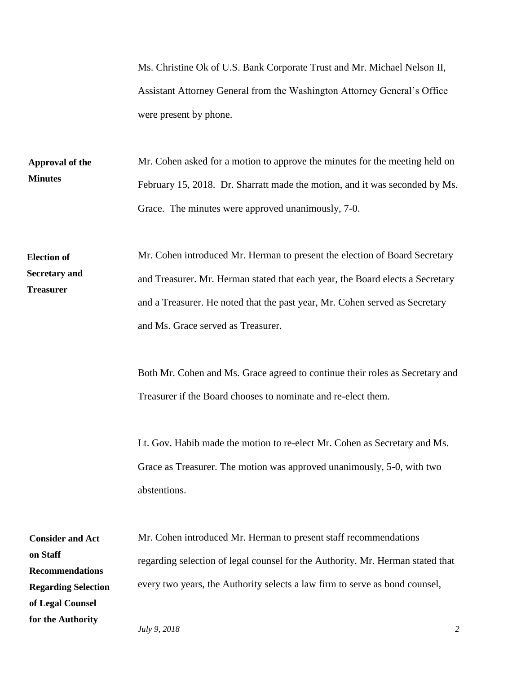Ms. Christine Ok of U.S. Bank Corporate Trust and Mr. Michael Nelson II, Assistant Attorney General from the Washington Attorney General's Office were present by phone.

Mr. Cohen asked for a motion to approve the minutes for the meeting held on February 15, 2018. Dr. Sharratt made the motion, and it was seconded by Ms. Grace. The minutes were approved unanimously, 7-0. **Approval of the Minutes**

Mr. Cohen introduced Mr. Herman to present the election of Board Secretary and Treasurer. Mr. Herman stated that each year, the Board elects a Secretary and a Treasurer. He noted that the past year, Mr. Cohen served as Secretary and Ms. Grace served as Treasurer. **Election of Secretary and Treasurer**

> Both Mr. Cohen and Ms. Grace agreed to continue their roles as Secretary and Treasurer if the Board chooses to nominate and re-elect them.

Lt. Gov. Habib made the motion to re-elect Mr. Cohen as Secretary and Ms. Grace as Treasurer. The motion was approved unanimously, 5-0, with two abstentions.

Mr. Cohen introduced Mr. Herman to present staff recommendations regarding selection of legal counsel for the Authority. Mr. Herman stated that every two years, the Authority selects a law firm to serve as bond counsel, **Consider and Act on Staff Recommendations Regarding Selection of Legal Counsel for the Authority**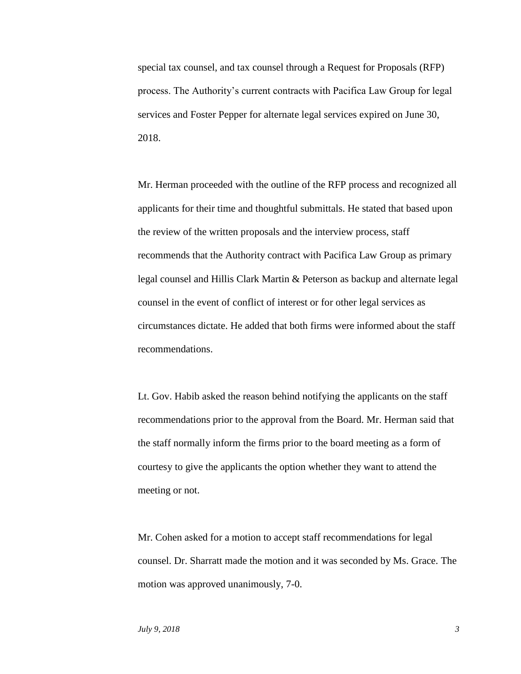special tax counsel, and tax counsel through a Request for Proposals (RFP) process. The Authority's current contracts with Pacifica Law Group for legal services and Foster Pepper for alternate legal services expired on June 30, 2018.

Mr. Herman proceeded with the outline of the RFP process and recognized all applicants for their time and thoughtful submittals. He stated that based upon the review of the written proposals and the interview process, staff recommends that the Authority contract with Pacifica Law Group as primary legal counsel and Hillis Clark Martin & Peterson as backup and alternate legal counsel in the event of conflict of interest or for other legal services as circumstances dictate. He added that both firms were informed about the staff recommendations.

Lt. Gov. Habib asked the reason behind notifying the applicants on the staff recommendations prior to the approval from the Board. Mr. Herman said that the staff normally inform the firms prior to the board meeting as a form of courtesy to give the applicants the option whether they want to attend the meeting or not.

Mr. Cohen asked for a motion to accept staff recommendations for legal counsel. Dr. Sharratt made the motion and it was seconded by Ms. Grace. The motion was approved unanimously, 7-0.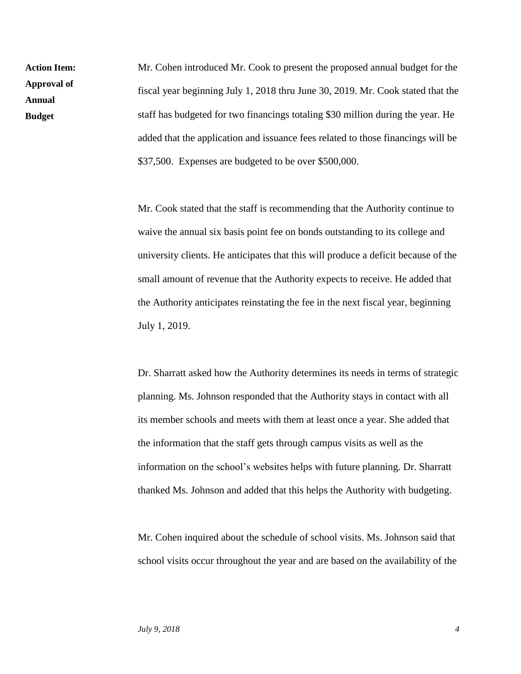Mr. Cohen introduced Mr. Cook to present the proposed annual budget for the fiscal year beginning July 1, 2018 thru June 30, 2019. Mr. Cook stated that the staff has budgeted for two financings totaling \$30 million during the year. He added that the application and issuance fees related to those financings will be \$37,500. Expenses are budgeted to be over \$500,000. **Action Item: Approval of** 

> Mr. Cook stated that the staff is recommending that the Authority continue to waive the annual six basis point fee on bonds outstanding to its college and university clients. He anticipates that this will produce a deficit because of the small amount of revenue that the Authority expects to receive. He added that the Authority anticipates reinstating the fee in the next fiscal year, beginning July 1, 2019.

> Dr. Sharratt asked how the Authority determines its needs in terms of strategic planning. Ms. Johnson responded that the Authority stays in contact with all its member schools and meets with them at least once a year. She added that the information that the staff gets through campus visits as well as the information on the school's websites helps with future planning. Dr. Sharratt thanked Ms. Johnson and added that this helps the Authority with budgeting.

> Mr. Cohen inquired about the schedule of school visits. Ms. Johnson said that school visits occur throughout the year and are based on the availability of the

**Annual Budget**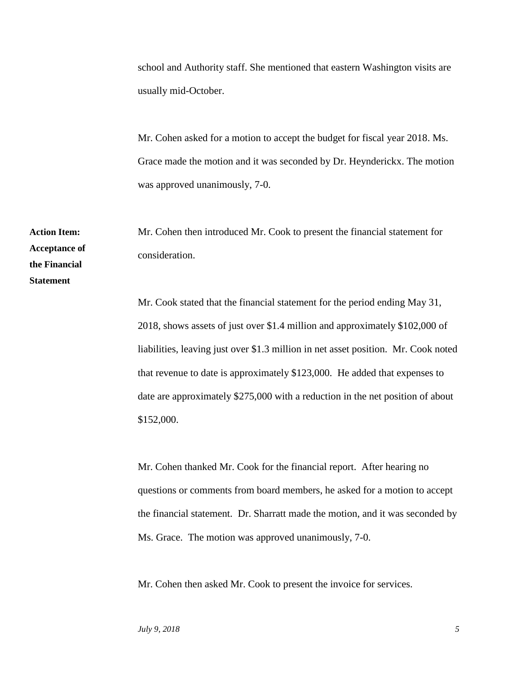school and Authority staff. She mentioned that eastern Washington visits are usually mid-October.

Mr. Cohen asked for a motion to accept the budget for fiscal year 2018. Ms. Grace made the motion and it was seconded by Dr. Heynderickx. The motion was approved unanimously, 7-0.

Mr. Cohen then introduced Mr. Cook to present the financial statement for consideration.

Mr. Cook stated that the financial statement for the period ending May 31, 2018, shows assets of just over \$1.4 million and approximately \$102,000 of liabilities, leaving just over \$1.3 million in net asset position. Mr. Cook noted that revenue to date is approximately \$123,000. He added that expenses to date are approximately \$275,000 with a reduction in the net position of about \$152,000.

Mr. Cohen thanked Mr. Cook for the financial report. After hearing no questions or comments from board members, he asked for a motion to accept the financial statement. Dr. Sharratt made the motion, and it was seconded by Ms. Grace. The motion was approved unanimously, 7-0.

Mr. Cohen then asked Mr. Cook to present the invoice for services.

**Action Item: Acceptance of the Financial** 

**Statement**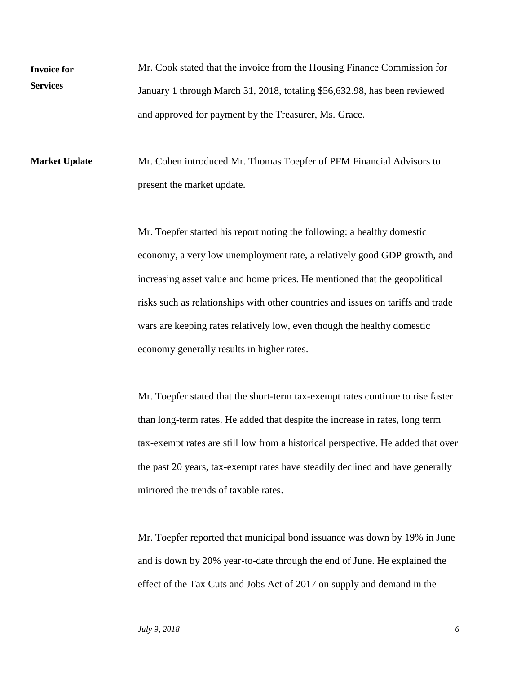Mr. Cook stated that the invoice from the Housing Finance Commission for January 1 through March 31, 2018, totaling \$56,632.98, has been reviewed and approved for payment by the Treasurer, Ms. Grace. **Invoice for Services**

Mr. Cohen introduced Mr. Thomas Toepfer of PFM Financial Advisors to present the market update. **Market Update**

> Mr. Toepfer started his report noting the following: a healthy domestic economy, a very low unemployment rate, a relatively good GDP growth, and increasing asset value and home prices. He mentioned that the geopolitical risks such as relationships with other countries and issues on tariffs and trade wars are keeping rates relatively low, even though the healthy domestic economy generally results in higher rates.

Mr. Toepfer stated that the short-term tax-exempt rates continue to rise faster than long-term rates. He added that despite the increase in rates, long term tax-exempt rates are still low from a historical perspective. He added that over the past 20 years, tax-exempt rates have steadily declined and have generally mirrored the trends of taxable rates.

Mr. Toepfer reported that municipal bond issuance was down by 19% in June and is down by 20% year-to-date through the end of June. He explained the effect of the Tax Cuts and Jobs Act of 2017 on supply and demand in the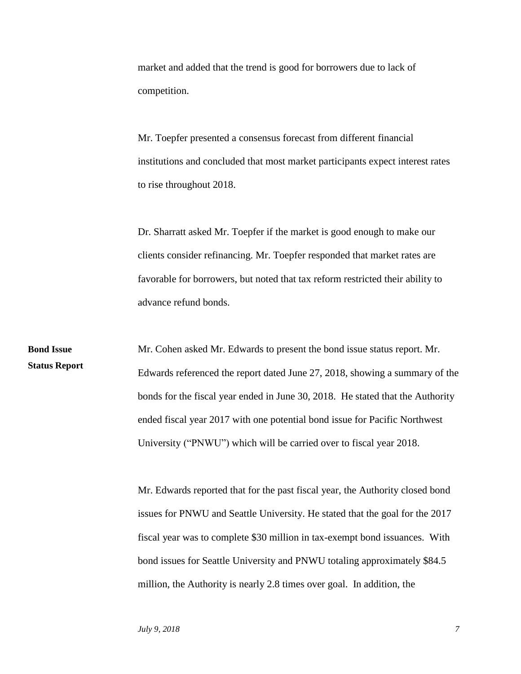market and added that the trend is good for borrowers due to lack of competition.

Mr. Toepfer presented a consensus forecast from different financial institutions and concluded that most market participants expect interest rates to rise throughout 2018.

Dr. Sharratt asked Mr. Toepfer if the market is good enough to make our clients consider refinancing. Mr. Toepfer responded that market rates are favorable for borrowers, but noted that tax reform restricted their ability to advance refund bonds.

Mr. Cohen asked Mr. Edwards to present the bond issue status report. Mr. Edwards referenced the report dated June 27, 2018, showing a summary of the bonds for the fiscal year ended in June 30, 2018. He stated that the Authority ended fiscal year 2017 with one potential bond issue for Pacific Northwest University ("PNWU") which will be carried over to fiscal year 2018. **Bond Issue Status Report**

> Mr. Edwards reported that for the past fiscal year, the Authority closed bond issues for PNWU and Seattle University. He stated that the goal for the 2017 fiscal year was to complete \$30 million in tax-exempt bond issuances. With bond issues for Seattle University and PNWU totaling approximately \$84.5 million, the Authority is nearly 2.8 times over goal. In addition, the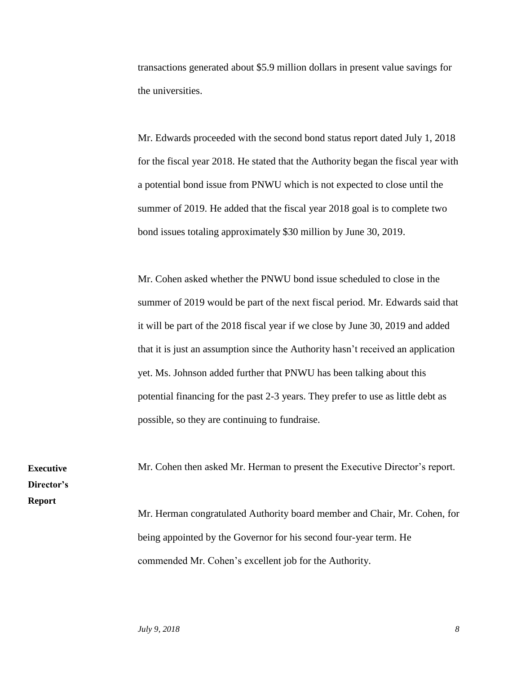transactions generated about \$5.9 million dollars in present value savings for the universities.

Mr. Edwards proceeded with the second bond status report dated July 1, 2018 for the fiscal year 2018. He stated that the Authority began the fiscal year with a potential bond issue from PNWU which is not expected to close until the summer of 2019. He added that the fiscal year 2018 goal is to complete two bond issues totaling approximately \$30 million by June 30, 2019.

Mr. Cohen asked whether the PNWU bond issue scheduled to close in the summer of 2019 would be part of the next fiscal period. Mr. Edwards said that it will be part of the 2018 fiscal year if we close by June 30, 2019 and added that it is just an assumption since the Authority hasn't received an application yet. Ms. Johnson added further that PNWU has been talking about this potential financing for the past 2-3 years. They prefer to use as little debt as possible, so they are continuing to fundraise.

Mr. Cohen then asked Mr. Herman to present the Executive Director's report. Mr. Herman congratulated Authority board member and Chair, Mr. Cohen, for being appointed by the Governor for his second four-year term. He

commended Mr. Cohen's excellent job for the Authority.

*July* 9, 2018 8

**Executive Director's** 

**Report**